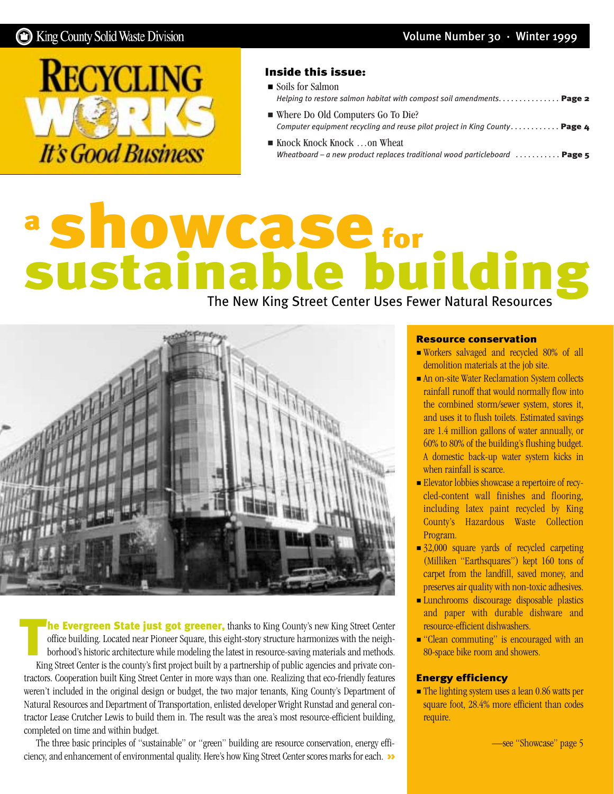<span id="page-0-0"></span>

#### Inside this issue:

- Soils for Salmon *Helping to restore salmon habitat with compost soil amendments.* . . . . . . . . . . . . . **Page 2**
- Where Do Old Computers Go To Die? *Computer equipment recycling and reuse pilot project in King County . . . . . . . . .* . . **Page 4**
- Knock Knock Knock …on Wheat *[Wheatboard – a new product replaces traditional wood particleboard . . . . . . . . . . .](#page-4-0)* Page 5

## a showcase for sustainable building



The Evergreen State just got greener, thanks to King County's new King Street Center<br>office building. Located near Pioneer Square, this eight-story structure harmonizes with the neigh-<br>borhood's historic architecture while office building. Located near Pioneer Square, this eight-story structure harmonizes with the neighborhood's historic architecture while modeling the latest in resource-saving materials and methods. King Street Center is the county's first project built by a partnership of public agencies and private contractors. Cooperation built King Street Center in more ways than one. Realizing that eco-friendly features weren't included in the original design or budget, the two major tenants, King County's Department of Natural Resources and Department of Transportation, enlisted developer Wright Runstad and general contractor Lease Crutcher Lewis to build them in. The result was the area's most resource-efficient building, completed on time and within budget.

The three basic principles of "sustainable" or "green" building are resource conservation, energy efficiency, and enhancement of environmental quality. Here's how King Street Center scores marks for each. »

#### Resource conservation

- Workers salvaged and recycled 80% of all demolition materials at the job site.
- An on-site Water Reclamation System collects rainfall runoff that would normally flow into the combined storm/sewer system, stores it, and uses it to flush toilets. Estimated savings are 1.4 million gallons of water annually, or 60% to 80% of the building's flushing budget. A domestic back-up water system kicks in when rainfall is scarce.
- Elevator lobbies showcase a repertoire of recycled-content wall finishes and flooring, including latex paint recycled by King County's Hazardous Waste Collection Program.
- 32,000 square vards of recycled carpeting (Milliken "Earthsquares") kept 160 tons of carpet from the landfill, saved money, and preserves air quality with non-toxic adhesives.
- Lunchrooms discourage disposable plastics and paper with durable dishware and resource-efficient dishwashers.
- "Clean commuting" is encouraged with an 80-space bike room and showers.

#### Energy efficiency

■ The lighting system uses a lean 0.86 watts per square foot, 28.4% more efficient than codes require.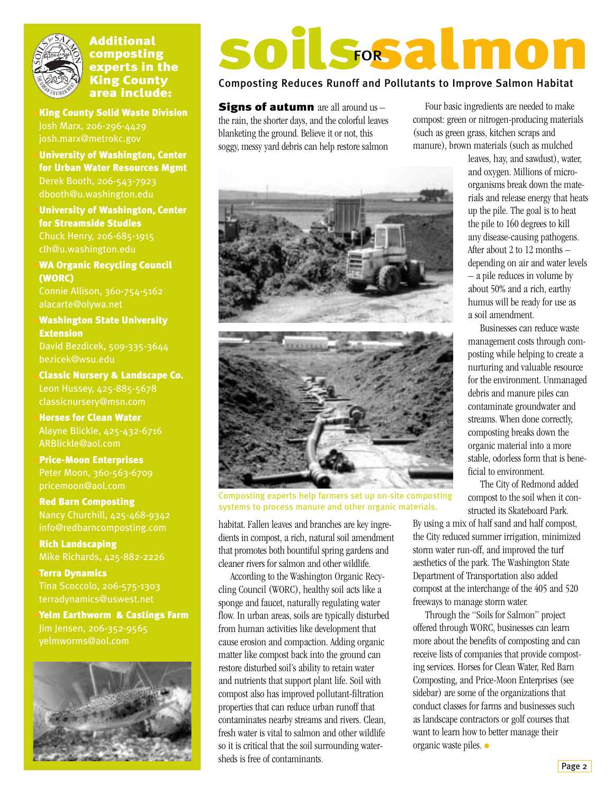<span id="page-1-0"></span>

#### **Additional** composting experts in the King County area include:

**King County Solid Waste Division** Josh Marx, 206-296-4429 josh.marx@metrokc.gov

**University of Washington, Center** for Urban Water Resources Mgmt Derek Booth, 206-543-7923 dbooth@u.washington.edu

**University of Washington, Center** for Streamside Studies

Chuck Henry, 206-685-1915 clh@u.washington.edu

**WA Organic Recycling Council** (WORC)

Connie Allison, 360-754-5162 alacarte@olywa.net

**Washington State University Extension** David Bezdicek, 509-335-3644

bezicek@wsu.edu **Classic Nursery & Landscape Co.** 

Leon Hussey, 425-885-5678 classicnursery@msn.com

**Horses for Clean Water** Alayne Blickle, 425-432-6716 ARBlickle@aol.com

**Price-Moon Enterprises** Peter Moon, 360-563-6709 pricemoon@aol.com

**Red Barn Composting** Nancy Churchill, 425-468-9342 info@redbarncomposting.com

**Rich Landscaping** 

**Terra Dynamics** Tina Scoccolo, 206-575-1303 terradynamics@uswest.net

Yelm Earthworm & Castings Farm Jim Jensen, 206-352-9565 yelmworms@aol.com



## SODICTORS 2019 FOR

#### Composting Reduces Runoff and Pollutants to Improve Salmon Habitat

Signs of autumn are all around us the rain, the shorter days, and the colorful leaves blanketing the ground. Believe it or not, this soggy, messy yard debris can help restore salmon



Composting experts help farmers set up on-site composting systems to process manure and other organic materials.

habitat. Fallen leaves and branches are key ingredients in compost, a rich, natural soil amendment that promotes both bountiful spring gardens and cleaner rivers for salmon and other wildlife.

According to the Washington Organic Recycling Council (WORC), healthy soil acts like a sponge and faucet, naturally regulating water flow. In urban areas, soils are typically disturbed from human activities like development that cause erosion and compaction. Adding organic matter like compost back into the ground can restore disturbed soil's ability to retain water and nutrients that support plant life. Soil with compost also has improved pollutant-filtration properties that can reduce urban runoff that contaminates nearby streams and rivers. Clean, fresh water is vital to salmon and other wildlife so it is critical that the soil surrounding watersheds is free of contaminants.

Four basic ingredients are needed to make compost: green or nitrogen-producing materials (such as green grass, kitchen scraps and manure), brown materials (such as mulched

> leaves, hay, and sawdust), water, and oxygen. Millions of microorganisms break down the materials and release energy that heats up the pile. The goal is to heat the pile to 160 degrees to kill any disease-causing pathogens. After about 2 to 12 months – depending on air and water levels – a pile reduces in volume by about 50% and a rich, earthy humus will be ready for use as a soil amendment.

Businesses can reduce waste management costs through composting while helping to create a nurturing and valuable resource for the environment. Unmanaged debris and manure piles can contaminate groundwater and streams. When done correctly, composting breaks down the organic material into a more stable, odorless form that is beneficial to environment.

The City of Redmond added compost to the soil when it constructed its Skateboard Park.

By using a mix of half sand and half compost, the City reduced summer irrigation, minimized storm water run-off, and improved the turf aesthetics of the park. The Washington State Department of Transportation also added compost at the interchange of the 405 and 520 freeways to manage storm water.

Through the "Soils for Salmon" project offered through WORC, businesses can learn more about the benefits of composting and can receive lists of companies that provide composting services. Horses for Clean Water, Red Barn Composting, and Price-Moon Enterprises (see sidebar) are some of the organizations that conduct classes for farms and businesses such as landscape contractors or golf courses that want to learn how to better manage their organic waste piles. ●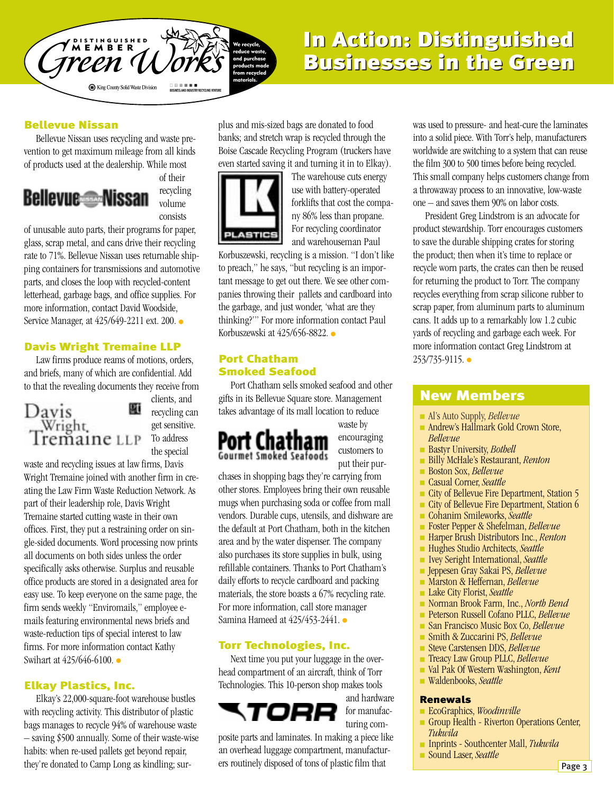

### In Action: Distinguished In Action: Distinguished Businesses in the Green Businesses in the Green

#### Bellevue Nissan

Bellevue Nissan uses recycling and waste prevention to get maximum mileage from all kinds of products used at the dealership. While most of their



recycling volume consists

of unusable auto parts, their programs for paper, glass, scrap metal, and cans drive their recycling rate to 71%. Bellevue Nissan uses returnable shipping containers for transmissions and automotive parts, and closes the loop with recycled-content letterhead, garbage bags, and office supplies. For more information, contact David Woodside, Service Manager, at 425/649-2211 ext. 200. ●

#### Davis Wright Tremaine LLP

Law firms produce reams of motions, orders, and briefs, many of which are confidential. Add to that the revealing documents they receive from



clients, and recycling can get sensitive. To address the special

waste and recycling issues at law firms, Davis Wright Tremaine joined with another firm in creating the Law Firm Waste Reduction Network. As part of their leadership role, Davis Wright Tremaine started cutting waste in their own offices. First, they put a restraining order on single-sided documents. Word processing now prints all documents on both sides unless the order specifically asks otherwise. Surplus and reusable office products are stored in a designated area for easy use. To keep everyone on the same page, the firm sends weekly "Enviromails," employee emails featuring environmental news briefs and waste-reduction tips of special interest to law firms. For more information contact Kathy Swihart at 425/646-6100. ●

#### Elkay Plastics, Inc.

Elkay's 22,000-square-foot warehouse bustles with recycling activity. This distributor of plastic bags manages to recycle 94% of warehouse waste – saving \$500 annually. Some of their waste-wise habits: when re-used pallets get beyond repair, they're donated to Camp Long as kindling; surplus and mis-sized bags are donated to food banks; and stretch wrap is recycled through the Boise Cascade Recycling Program (truckers have even started saving it and turning it in to Elkay).



The warehouse cuts energy use with battery-operated forklifts that cost the company 86% less than propane. For recycling coordinator and warehouseman Paul

Korbuszewski, recycling is a mission. "I don't like to preach," he says, "but recycling is an important message to get out there. We see other companies throwing their pallets and cardboard into the garbage, and just wonder, 'what are they thinking?'" For more information contact Paul Korbuszewski at 425/656-8822. •

#### Port Chatham Smoked Seafood

Port Chatham sells smoked seafood and other gifts in its Bellevue Square store. Management takes advantage of its mall location to reduce



waste by encouraging customers to put their pur-

chases in shopping bags they're carrying from other stores. Employees bring their own reusable mugs when purchasing soda or coffee from mall vendors. Durable cups, utensils, and dishware are the default at Port Chatham, both in the kitchen area and by the water dispenser. The company also purchases its store supplies in bulk, using refillable containers. Thanks to Port Chatham's daily efforts to recycle cardboard and packing materials, the store boasts a 67% recycling rate. For more information, call store manager Samina Hameed at 425/453-2441. ●

#### Torr Technologies, Inc.

Next time you put your luggage in the overhead compartment of an aircraft, think of Torr Technologies. This 10-person shop makes tools



and hardware for manufacturing com-

posite parts and laminates. In making a piece like an overhead luggage compartment, manufacturers routinely disposed of tons of plastic film that

was used to pressure- and heat-cure the laminates into a solid piece. With Torr's help, manufacturers worldwide are switching to a system that can reuse the film 300 to 500 times before being recycled. This small company helps customers change from a throwaway process to an innovative, low-waste one – and saves them 90% on labor costs.

President Greg Lindstrom is an advocate for product stewardship. Torr encourages customers to save the durable shipping crates for storing the product; then when it's time to replace or recycle worn parts, the crates can then be reused for returning the product to Torr. The company recycles everything from scrap silicone rubber to scrap paper, from aluminum parts to aluminum cans. It adds up to a remarkably low 1.2 cubic yards of recycling and garbage each week. For more information contact Greg Lindstrom at 253/735-9115. ●

#### New Members

- Al's Auto Supply, *Bellevue*
- Andrew's Hallmark Gold Crown Store, *Bellevue*
- Bastyr University, *Bothell*
- Billy McHale's Restaurant, *Renton*<br>■ Boston Sox *Rellevue*
- Boston Sox, *Bellevue*
- Casual Corner, *Seattle*
- City of Bellevue Fire Department, Station 5<br>■ City of Bellevue Fire Department, Station 6
- City of Bellevue Fire Department, Station 6
- Cohanim Smileworks, *Seattle*
- Foster Pepper & Shefelman, *Bellevue*
- Harper Brush Distributors Inc., *Renton*
- Hughes Studio Architects, *Seattle*<br>■ Ivey Seright International, *Seattle*
- Ivey Seright International, *Seattle* ■ Jeppesen Gray Sakai PS, *Bellevue*
- Marston & Heffernan, *Bellevue*
- 
- Lake City Florist, *Seattle*
- Norman Brook Farm, Inc., *North Bend*
- Peterson Russell Cofano PLLC, *Bellevue*<br>■ San Francisco Music Box Co. *Bellevue*
- San Francisco Music Box Co, *Bellevue*<br>■ Smith & Zuccarini PS *Bellevue* ■ Smith & Zuccarini PS, *Bellevue*
- 
- Steve Carstensen DDS, *Bellevue*
- Treacy Law Group PLLC, *Bellevue*
- Val Pak Of Western Washington, *Kent*
- Waldenbooks, *Seattle*

#### Renewals

- EcoGraphics, *Woodinville*
- Group Health Riverton Operations Center, *Tukwila*
- Inprints Southcenter Mall, *Tukwila*
- Sound Laser, *Seattle*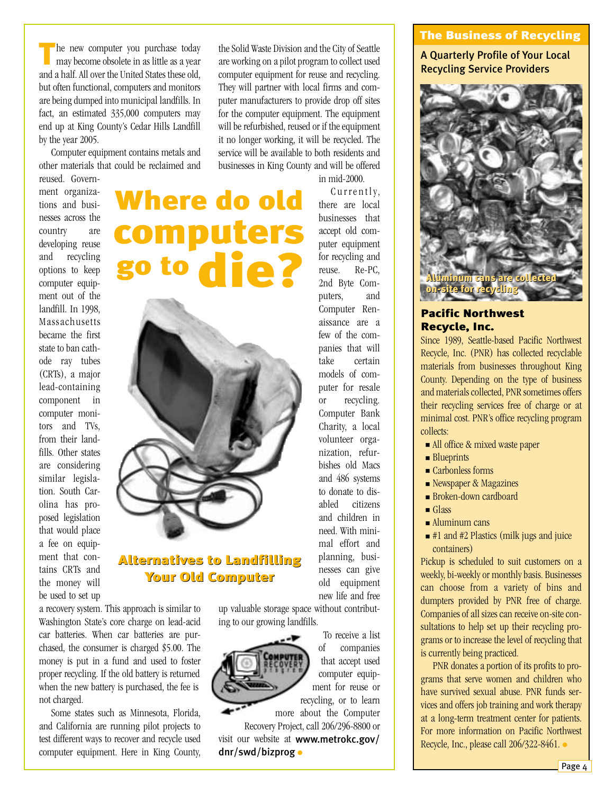<span id="page-3-0"></span>he new computer you purchase today may become obsolete in as little as a year and a half. All over the United States these old, but often functional, computers and monitors are being dumped into municipal landfills. In fact, an estimated 335,000 computers may end up at King County's Cedar Hills Landfill by the year 2005.

Computer equipment contains metals and other materials that could be reclaimed and reused. Govern-

ment organizations and businesses across the country are developing reuse and recycling options to keep computer equipment out of the landfill. In 1998, Massachusetts became the first state to ban cathode ray tubes (CRTs), a major lead-containing component in computer monitors and TVs, from their landfills. Other states are considering similar legislation. South Carolina has proposed legislation that would place a fee on equipment that contains CRTs and the money will be used to set up



Where do old

#### Alternatives to Landfilling Alternatives to Landfilling Your Old Computer Your Old Computer

a recovery system. This approach is similar to Washington State's core charge on lead-acid car batteries. When car batteries are purchased, the consumer is charged \$5.00. The money is put in a fund and used to foster proper recycling. If the old battery is returned when the new battery is purchased, the fee is not charged.

Some states such as Minnesota, Florida, and California are running pilot projects to test different ways to recover and recycle used computer equipment. Here in King County,

the Solid Waste Division and the City of Seattle are working on a pilot program to collect used computer equipment for reuse and recycling. They will partner with local firms and computer manufacturers to provide drop off sites for the computer equipment. The equipment will be refurbished, reused or if the equipment it no longer working, it will be recycled. The service will be available to both residents and businesses in King County and will be offered

in mid-2000.

Currently, there are local businesses that accept old computer equipment for recycling and reuse. Re-PC, 2nd Byte Computers, and Computer Renaissance are a few of the companies that will take certain models of computer for resale or recycling. Computer Bank Charity, a local volunteer organization, refurbishes old Macs and 486 systems to donate to disabled citizens and children in need. With minimal effort and planning, businesses can give old equipment new life and free up valuable storage space without contribut-



ing to our growing landfills.

of companies that accept used computer equipment for reuse or recycling, or to learn

To receive a list

more about the Computer Recovery Project, call 206/296-8800 or

visit our website at [www.metrokc.gov/](http://www.metrokc.gov/dnr/swd/bizprog) [dnr/swd/bizprog](http://www.metrokc.gov/dnr/swd/bizprog) ●

#### The Business of Recycling

A Quarterly Profile of Your Local Recycling Service Providers



#### Pacific Northwest Recycle, Inc.

Since 1989, Seattle-based Pacific Northwest Recycle, Inc. (PNR) has collected recyclable materials from businesses throughout King County. Depending on the type of business and materials collected, PNR sometimes offers their recycling services free of charge or at minimal cost. PNR's office recycling program collects:

- All office & mixed waste paper
- Blueprints
- Carbonless forms
- Newspaper & Magazines
- Broken-down cardboard
- Glass
	- Aluminum cans
	- #1 and #2 Plastics (milk jugs and juice containers)

Pickup is scheduled to suit customers on a weekly, bi-weekly or monthly basis. Businesses can choose from a variety of bins and dumpters provided by PNR free of charge. Companies of all sizes can receive on-site consultations to help set up their recycling programs or to increase the level of recycling that is currently being practiced.

PNR donates a portion of its profits to programs that serve women and children who have survived sexual abuse. PNR funds services and offers job training and work therapy at a long-term treatment center for patients. For more information on Pacific Northwest Recycle, Inc., please call 206/322-8461. ●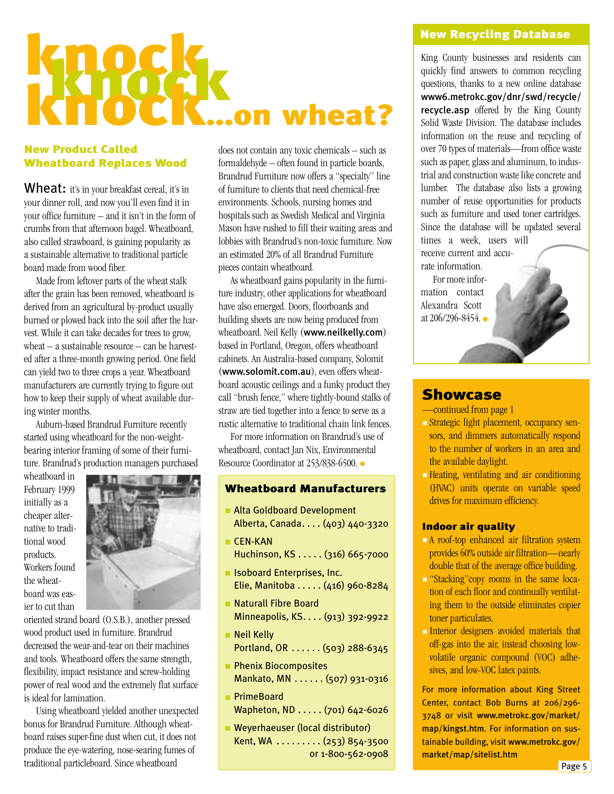# <span id="page-4-0"></span>knock.

#### New Product Called Wheatboard Replaces Wood

Wheat: it's in your breakfast cereal, it's in your dinner roll, and now you'll even find it in your office furniture – and it isn't in the form of crumbs from that afternoon bagel. Wheatboard, also called strawboard, is gaining popularity as a sustainable alternative to traditional particle board made from wood fiber.

Made from leftover parts of the wheat stalk after the grain has been removed, wheatboard is derived from an agricultural by-product usually burned or plowed back into the soil after the harvest. While it can take decades for trees to grow, wheat – a sustainable resource – can be harvested after a three-month growing period. One field can yield two to three crops a year. Wheatboard manufacturers are currently trying to figure out how to keep their supply of wheat available during winter months.

Auburn-based Brandrud Furniture recently started using wheatboard for the non-weightbearing interior framing of some of their furniture. Brandrud's production managers purchased

wheatboard in February 1999 initially as a cheaper alternative to traditional wood products. Workers found the wheatboard was easier to cut than



oriented strand board (O.S.B.), another pressed wood product used in furniture. Brandrud decreased the wear-and-tear on their machines and tools. Wheatboard offers the same strength, flexibility, impact resistance and screw-holding power of real wood and the extremely flat surface is ideal for lamination.

Using wheatboard yielded another unexpected bonus for Brandrud Furniture. Although wheatboard raises super-fine dust when cut, it does not produce the eye-watering, nose-searing fumes of traditional particleboard. Since wheatboard

does not contain any toxic chemicals – such as formaldehyde – often found in particle boards, Brandrud Furniture now offers a "specialty" line of furniture to clients that need chemical-free environments. Schools, nursing homes and hospitals such as Swedish Medical and Virginia Mason have rushed to fill their waiting areas and lobbies with Brandrud's non-toxic furniture. Now an estimated 20% of all Brandrud Furniture pieces contain wheatboard.

As wheatboard gains popularity in the furniture industry, other applications for wheatboard have also emerged. Doors, floorboards and building sheets are now being produced from wheatboard. Neil Kelly ([www.neilkelly.com](http://www.neilkelly.com)) based in Portland, Oregon, offers wheatboard cabinets. An Australia-based company, Solomit ([www.solomit.com.au](http://www.solomit.com.au)), even offers wheatboard acoustic ceilings and a funky product they call "brush fence," where tightly-bound stalks of straw are tied together into a fence to serve as a rustic alternative to traditional chain link fences.

For more information on Brandrud's use of wheatboard, contact Jan Nix, Environmental Resource Coordinator at 253/838-6500. ●

#### Wheatboard Manufacturers

- Alta Goldboard Development Alberta, Canada. . . . (403) 440-3320
- CEN-KAN Huchinson, KS . . . . . (316) 665-7000
- Isoboard Enterprises, Inc. Elie, Manitoba . . . . . (416) 960-8284
- Naturall Fibre Board Minneapolis, KS. . . . (913) 392-9922
- Neil Kelly Portland, OR . . . . . . (503) 288-6345
- Phenix Biocomposites Mankato, MN . . . . . . (507) 931-0316
- PrimeBoard Wapheton, ND . . . . . (701) 642-6026
- Weyerhaeuser (local distributor) Kent, WA . . . . . . . . . (253) 854-3500 or 1-800-562-0908

#### New Recycling Database

King County businesses and residents can quickly find answers to common recycling questions, thanks to a new online database [www6.metrokc.gov/dnr/swd/recycle/](http://www6.metrokc.gov/dnr/swd/recycle/recycle.asp) [recycle.asp](http://www6.metrokc.gov/dnr/swd/recycle/recycle.asp) offered by the King County Solid Waste Division. The database includes information on the reuse and recycling of over 70 types of materials—from office waste such as paper, glass and aluminum, to industrial and construction waste like concrete and lumber. The database also lists a growing number of reuse opportunities for products such as furniture and used toner cartridges. Since the database will be updated several times a week, users will

receive current and accurate information.

For more information contact Alexandra Scott at 206/296-8454. ●

#### Showcase

[—continued from page 1](#page-0-0)

- Strategic light placement, occupancy sensors, and dimmers automatically respond to the number of workers in an area and the available daylight.
- Heating, ventilating and air conditioning (HVAC) units operate on variable speed drives for maximum efficiency.

#### Indoor air quality

- A roof-top enhanced air filtration system provides 60% outside air filtration—nearly double that of the average office building.
- "Stacking"copy rooms in the same location of each floor and continually ventilating them to the outside eliminates copier toner particulates.
- Interior designers avoided materials that off-gas into the air, instead choosing lowvolatile organic compound (VOC) adhesives, and low-VOC latex paints.

For more information about King Street Center, contact Bob Burns at 206/296- 3748 or visit [www.metrokc.gov/market/](http://www.metrokc.gov/market/map/kingst.htm) [map/kingst.htm](http://www.metrokc.gov/market/map/kingst.htm). For information on sustainable building, visit [www.metrokc.gov/](http://www.metrokc.gov/market/map/sitelist.htm) [market/map/sitelist.htm](http://www.metrokc.gov/market/map/sitelist.htm)